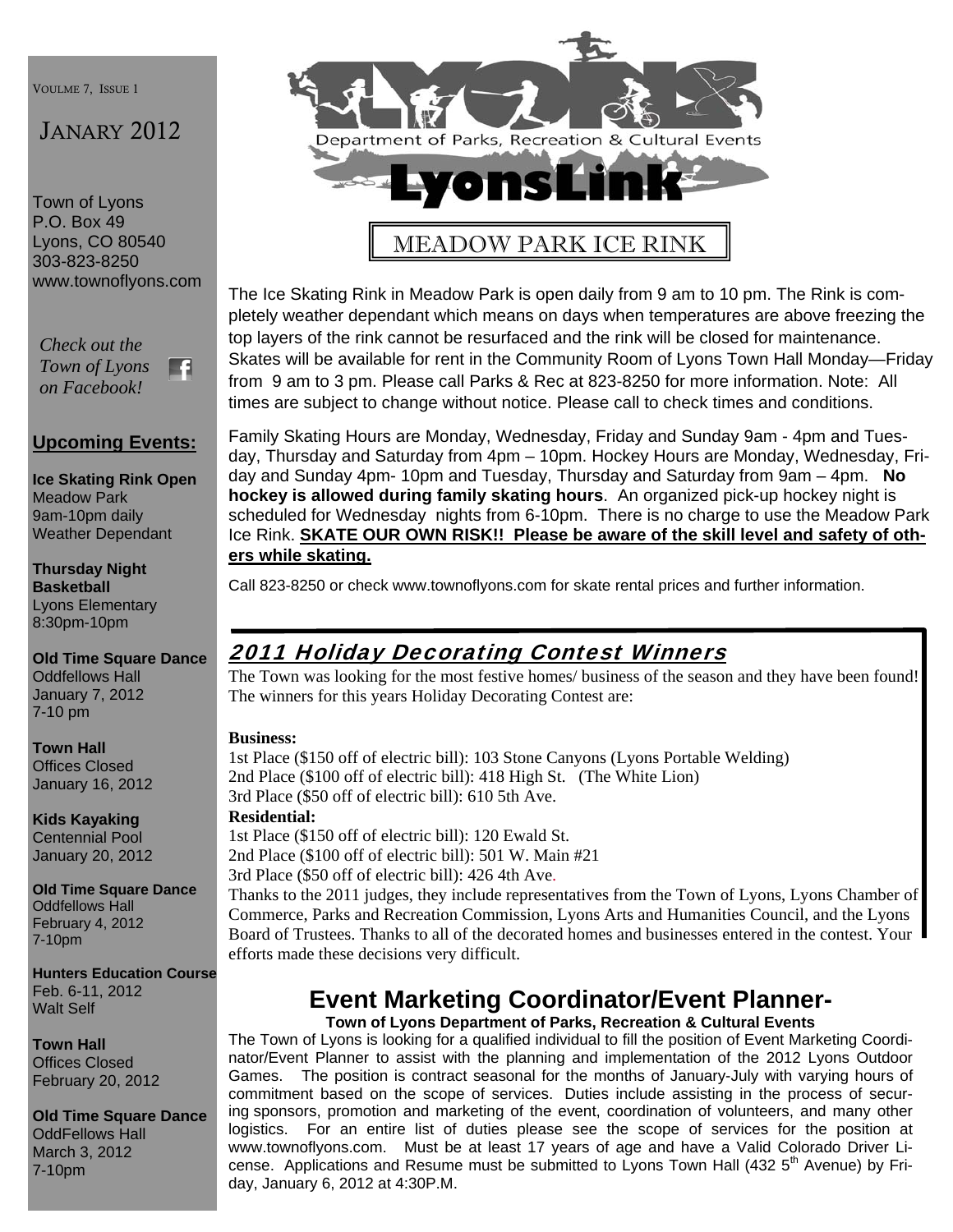VOULME 7, ISSUE 1

# JANARY 2012

Town of Lyons P.O. Box 49 Lyons, CO 80540 303-823-8250 www.townoflyons.com

*Check out the Town of Lyons*  F. *on Facebook!* 

## **Upcoming Events:**

**Ice Skating Rink Open**  Meadow Park 9am-10pm daily Weather Dependant

**Thursday Night Basketball** 

Lyons Elementary 8:30pm-10pm

**Old Time Square Dance** 

Oddfellows Hall January 7, 2012 7-10 pm

**Town Hall**  Offices Closed January 16, 2012

**Kids Kayaking**  Centennial Pool January 20, 2012

**Old Time Square Dance**  Oddfellows Hall February 4, 2012 7-10pm

**Hunters Education Course**  Feb. 6-11, 2012 Walt Self

**Town Hall**  Offices Closed February 20, 2012

**Old Time Square Dance**  OddFellows Hall March 3, 2012 7-10pm



# MEADOW PARK ICE RINK

The Ice Skating Rink in Meadow Park is open daily from 9 am to 10 pm. The Rink is completely weather dependant which means on days when temperatures are above freezing the top layers of the rink cannot be resurfaced and the rink will be closed for maintenance. Skates will be available for rent in the Community Room of Lyons Town Hall Monday—Friday from 9 am to 3 pm. Please call Parks & Rec at 823-8250 for more information. Note: All times are subject to change without notice. Please call to check times and conditions.

Family Skating Hours are Monday, Wednesday, Friday and Sunday 9am - 4pm and Tuesday, Thursday and Saturday from 4pm – 10pm. Hockey Hours are Monday, Wednesday, Friday and Sunday 4pm- 10pm and Tuesday, Thursday and Saturday from 9am – 4pm. **No hockey is allowed during family skating hours**. An organized pick-up hockey night is scheduled for Wednesday nights from 6-10pm. There is no charge to use the Meadow Park Ice Rink. **SKATE OUR OWN RISK!! Please be aware of the skill level and safety of others while skating.** 

Call 823-8250 or check www.townoflyons.com for skate rental prices and further information.

# 2011 Holiday Decorating Contest Winners

The Town was looking for the most festive homes/ business of the season and they have been found! The winners for this years Holiday Decorating Contest are:

#### **Business:**

1st Place (\$150 off of electric bill): 103 Stone Canyons (Lyons Portable Welding) 2nd Place (\$100 off of electric bill): 418 High St. (The White Lion) 3rd Place (\$50 off of electric bill): 610 5th Ave. **Residential:**  1st Place (\$150 off of electric bill): 120 Ewald St.

2nd Place (\$100 off of electric bill): 501 W. Main #21

3rd Place (\$50 off of electric bill): 426 4th Ave.

Thanks to the 2011 judges, they include representatives from the Town of Lyons, Lyons Chamber of Commerce, Parks and Recreation Commission, Lyons Arts and Humanities Council, and the Lyons Board of Trustees. Thanks to all of the decorated homes and businesses entered in the contest. Your efforts made these decisions very difficult.

# **Event Marketing Coordinator/Event Planner-**

**Town of Lyons Department of Parks, Recreation & Cultural Events**  The Town of Lyons is looking for a qualified individual to fill the position of Event Marketing Coordinator/Event Planner to assist with the planning and implementation of the 2012 Lyons Outdoor Games. The position is contract seasonal for the months of January-July with varying hours of commitment based on the scope of services. Duties include assisting in the process of securing sponsors, promotion and marketing of the event, coordination of volunteers, and many other logistics. For an entire list of duties please see the scope of services for the position at www.townoflyons.com. Must be at least 17 years of age and have a Valid Colorado Driver License. Applications and Resume must be submitted to Lyons Town Hall (432  $5<sup>th</sup>$  Avenue) by Friday, January 6, 2012 at 4:30P.M.